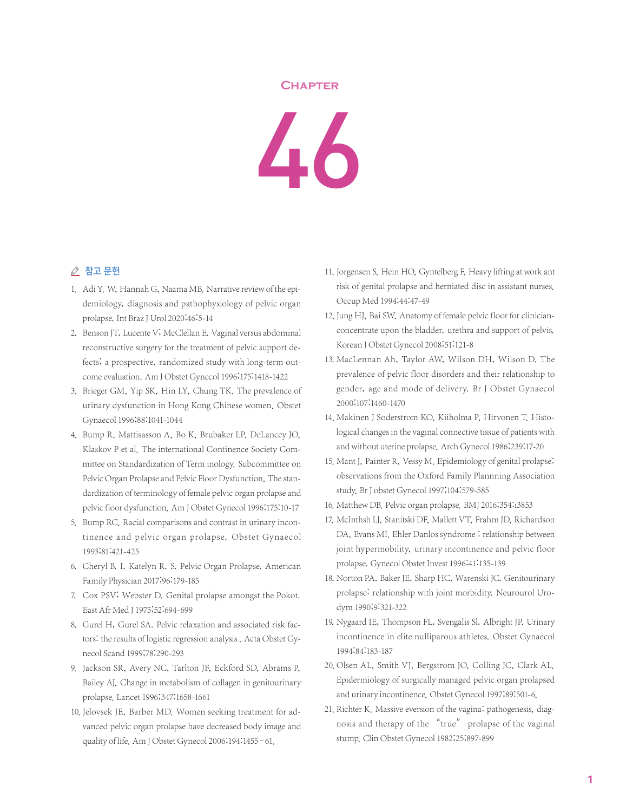## **Chapter**



## △ 참고 문헌

- 1. Adi Y. W, Hannah G, Naama MB. Narrative review of the epidemiology, diagnosis and pathophysiology of pelvic organ prolapse.Int Braz J Urol 2020;46:5-14
- 2. Benson JT, Lucente V, McClellan E. Vaginal versus abdominal reconstructive surgery for the treatment of pelvic support defects; a prospective, randomized study with long-term outcome evaluation. Am J Obstet Gynecol 1996;175:1418-1422
- 3. Brieger GM, Yip SK, Hin LY, Chung TK. The prevalence of urinary dysfunction in Hong Kong Chinese women. Obstet Gynaecol 1996;88:1041-1044
- 4. Bump R, Mattisasson A, Bo K, Brubaker LP, DeLancey JO, Klaskov P et al. The international Continence Society Committee on Standardization of Term inology. Subcommittee on Pelvic Organ Prolapse and Pelvic Floor Dysfunction. The standardization of terminology of female pelvic organ prolapse and pelvic floor dysfunction. Am J Obstet Gynecol 1996;175:10-17
- 5. Bump RC. Racial comparisons and contrast in urinary incontinence and pelvic organ prolapse. Obstet Gynaecol 1993;81:421-425
- 6. Cheryl B. I, Katelyn R. S. Pelvic Organ Prolapse. American Family Physician 2017;96:179-185
- 7. Cox PSV; Webster D. Genital prolapse amongst the Pokot. East Afr Med J 1975;52:694-699
- 8. Gurel H, Gurel SA. Pelvic relaxation and associated risk factors: the results of logistic regression analysis . Acta Obstet Gynecol Scand 1999;78:290-293
- 9. Jackson SR, Avery NC, Tarlton JF, Eckford SD, Abrams P, Bailey AJ. Change in metabolism of collagen in genitourinary prolapse. Lancet 1996;347:1658-1661
- 10. Jelovsek JE, Barber MD. Women seeking treatment for advanced pelvic organ prolapse have decreased body image and quality of life. Am J Obstet Gynecol 2006;194:1455–61.
- 11. Jorgensen S. Hein HO, Gyntelberg F. Heavy lifting at work ant risk of genital prolapse and herniated disc in assistant nurses. Occup Med 1994;44:47-49
- 12. Jung HJ, Bai SW. Anatomy of female pelvic floor for clinicianconcentrate upon the bladder, urethra and support of pelvis. Korean J Obstet Gynecol 2008;51:121-8
- 13. MacLennan Ah, Taylor AW, Wilson DH, Wilson D. The prevalence of pelvic floor disorders and their relationship to gender, age and mode of delivery. Br J Obstet Gynaecol 2000;107:1460-1470
- 14. Makinen J Soderstrom KO, Kiiholma P, Hirvonen T. Histological changes in the vaginal connective tissue of patients with and without uterine prolapse. Arch Gynecol 1986;239:17-20
- 15. Mant J, Painter R, Vessy M. Epidemiology of genital prolapse: observations from the Oxford Family Plannning Association study. Br J obstet Gynecol 1997;104:579-585
- 16. Matthew DB. Pelvic organ prolapse. BMJ 2016;354:i3853
- 17. McInthsh LJ, Stanitski DF, Mallett VT, Frahm JD, Richardson DA, Evans MI. Ehler Danlos syndrome : relationship between joint hypermobility, urinary incontinence and pelvic floor prolapse. Gynecol Obstet Invest 1996;41:135-139
- 18. Norton PA, Baker JE, Sharp HC, Warenski JC. Genitourinary prolapse: relationship with joint morbidity. Neurourol Urodym 1990;9:321-322
- 19. Nygaard IE, Thompson FL, Svengalis Sl, Albright JP. Urinary incontinence in elite nulliparous athletes. Obstet Gynaecol 1994;84:183-187
- 20. Olsen AL, Smith VJ, Bergstrom JO, Colling JC, Clark AL. Epidermiology of surgically managed pelvic organ prolapsed and urinary incontinence. Obstet Gynecol 1997;89:501-6.
- 21. Richter K. Massive eversion of the vagina: pathogenesis, diagnosis and therapy of the "true" prolapse of the vaginal stump. Clin Obstet Gynecol 1982;25;897-899